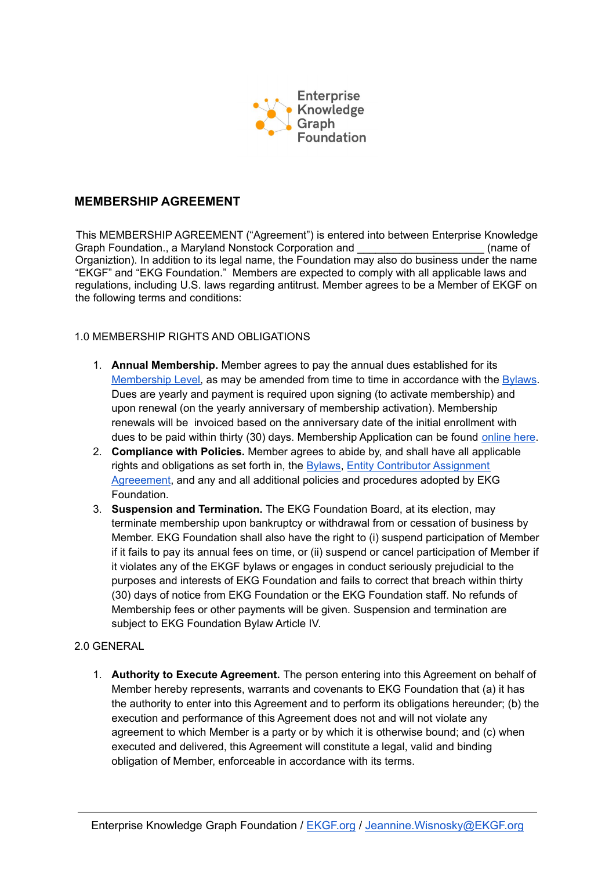

### **MEMBERSHIP AGREEMENT**

This MEMBERSHIP AGREEMENT ("Agreement") is entered into between Enterprise Knowledge Graph Foundation., a Maryland Nonstock Corporation and **Example 20** (name of Organiztion). In addition to its legal name, the Foundation may also do business under the name "EKGF" and "EKG Foundation." Members are expected to comply with all applicable laws and regulations, including U.S. laws regarding antitrust. Member agrees to be a Member of EKGF on the following terms and conditions:

#### 1.0 MEMBERSHIP RIGHTS AND OBLIGATIONS

- 1. **Annual Membership.** Member agrees to pay the annual dues established for its [Membership Level,](https://www.ekgf.org/membership) as may be amended from time to time in accordance with the [Bylaws](https://www.ekgf.org/bylaws). Dues are yearly and payment is required upon signing (to activate membership) and upon renewal (on the yearly anniversary of membership activation). Membership renewals will be invoiced based on the anniversary date of the initial enrollment with dues to be paid within thirty (30) days. Membership Application can be found [online here](https://www.ekgf.org/membershipform).
- 2. **Compliance with Policies.** Member agrees to abide by, and shall have all applicable rights and obligations as set forth in, the [Bylaws,](https://www.ekgf.org/_files/ugd/ffbc4e_99e9cc313799433b97b7948185c80df6.pdf) [Entity Contributor Assignment](https://www.ekgf.org/_files/ugd/ffbc4e_fb00de84b57d4dd684a248b0c82eafe9.pdf) [Agreeement](https://www.ekgf.org/_files/ugd/ffbc4e_fb00de84b57d4dd684a248b0c82eafe9.pdf), and any and all additional policies and procedures adopted by EKG Foundation.
- 3. **Suspension and Termination.** The EKG Foundation Board, at its election, may terminate membership upon bankruptcy or withdrawal from or cessation of business by Member. EKG Foundation shall also have the right to (i) suspend participation of Member if it fails to pay its annual fees on time, or (ii) suspend or cancel participation of Member if it violates any of the EKGF bylaws or engages in conduct seriously prejudicial to the purposes and interests of EKG Foundation and fails to correct that breach within thirty (30) days of notice from EKG Foundation or the EKG Foundation staff. No refunds of Membership fees or other payments will be given. Suspension and termination are subject to EKG Foundation Bylaw Article IV.

#### 2.0 GENERAL

1. **Authority to Execute Agreement.** The person entering into this Agreement on behalf of Member hereby represents, warrants and covenants to EKG Foundation that (a) it has the authority to enter into this Agreement and to perform its obligations hereunder; (b) the execution and performance of this Agreement does not and will not violate any agreement to which Member is a party or by which it is otherwise bound; and (c) when executed and delivered, this Agreement will constitute a legal, valid and binding obligation of Member, enforceable in accordance with its terms.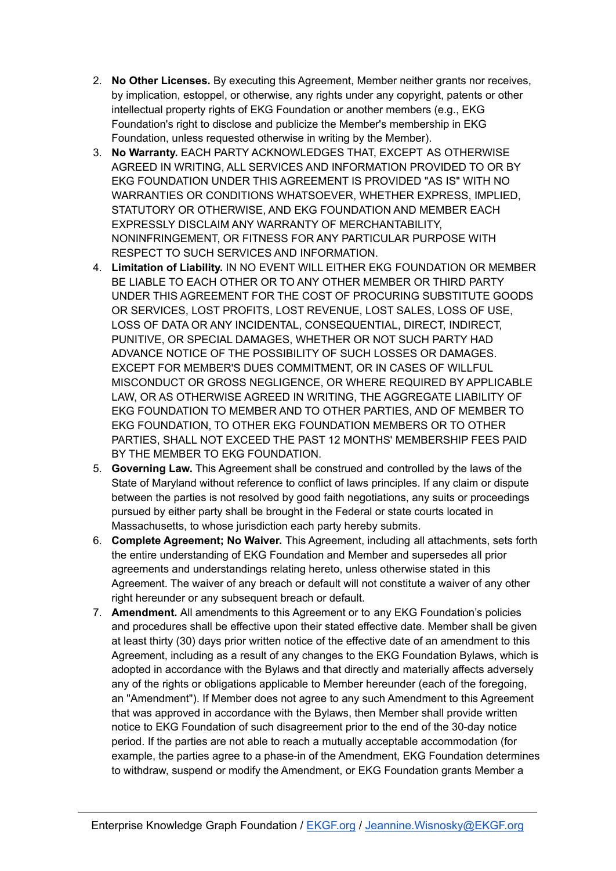- 2. **No Other Licenses.** By executing this Agreement, Member neither grants nor receives, by implication, estoppel, or otherwise, any rights under any copyright, patents or other intellectual property rights of EKG Foundation or another members (e.g., EKG Foundation's right to disclose and publicize the Member's membership in EKG Foundation, unless requested otherwise in writing by the Member).
- 3. **No Warranty.** EACH PARTY ACKNOWLEDGES THAT, EXCEPT AS OTHERWISE AGREED IN WRITING, ALL SERVICES AND INFORMATION PROVIDED TO OR BY EKG FOUNDATION UNDER THIS AGREEMENT IS PROVIDED "AS IS" WITH NO WARRANTIES OR CONDITIONS WHATSOEVER, WHETHER EXPRESS, IMPLIED, STATUTORY OR OTHERWISE, AND EKG FOUNDATION AND MEMBER EACH EXPRESSLY DISCLAIM ANY WARRANTY OF MERCHANTABILITY, NONINFRINGEMENT, OR FITNESS FOR ANY PARTICULAR PURPOSE WITH RESPECT TO SUCH SERVICES AND INFORMATION.
- 4. **Limitation of Liability.** IN NO EVENT WILL EITHER EKG FOUNDATION OR MEMBER BE LIABLE TO EACH OTHER OR TO ANY OTHER MEMBER OR THIRD PARTY UNDER THIS AGREEMENT FOR THE COST OF PROCURING SUBSTITUTE GOODS OR SERVICES, LOST PROFITS, LOST REVENUE, LOST SALES, LOSS OF USE, LOSS OF DATA OR ANY INCIDENTAL, CONSEQUENTIAL, DIRECT, INDIRECT, PUNITIVE, OR SPECIAL DAMAGES, WHETHER OR NOT SUCH PARTY HAD ADVANCE NOTICE OF THE POSSIBILITY OF SUCH LOSSES OR DAMAGES. EXCEPT FOR MEMBER'S DUES COMMITMENT, OR IN CASES OF WILLFUL MISCONDUCT OR GROSS NEGLIGENCE, OR WHERE REQUIRED BY APPLICABLE LAW, OR AS OTHERWISE AGREED IN WRITING, THE AGGREGATE LIABILITY OF EKG FOUNDATION TO MEMBER AND TO OTHER PARTIES, AND OF MEMBER TO EKG FOUNDATION, TO OTHER EKG FOUNDATION MEMBERS OR TO OTHER PARTIES, SHALL NOT EXCEED THE PAST 12 MONTHS' MEMBERSHIP FEES PAID BY THE MEMBER TO EKG FOUNDATION.
- 5. **Governing Law.** This Agreement shall be construed and controlled by the laws of the State of Maryland without reference to conflict of laws principles. If any claim or dispute between the parties is not resolved by good faith negotiations, any suits or proceedings pursued by either party shall be brought in the Federal or state courts located in Massachusetts, to whose jurisdiction each party hereby submits.
- 6. **Complete Agreement; No Waiver.** This Agreement, including all attachments, sets forth the entire understanding of EKG Foundation and Member and supersedes all prior agreements and understandings relating hereto, unless otherwise stated in this Agreement. The waiver of any breach or default will not constitute a waiver of any other right hereunder or any subsequent breach or default.
- 7. **Amendment.** All amendments to this Agreement or to any EKG Foundation's policies and procedures shall be effective upon their stated effective date. Member shall be given at least thirty (30) days prior written notice of the effective date of an amendment to this Agreement, including as a result of any changes to the EKG Foundation Bylaws, which is adopted in accordance with the Bylaws and that directly and materially affects adversely any of the rights or obligations applicable to Member hereunder (each of the foregoing, an "Amendment"). If Member does not agree to any such Amendment to this Agreement that was approved in accordance with the Bylaws, then Member shall provide written notice to EKG Foundation of such disagreement prior to the end of the 30-day notice period. If the parties are not able to reach a mutually acceptable accommodation (for example, the parties agree to a phase-in of the Amendment, EKG Foundation determines to withdraw, suspend or modify the Amendment, or EKG Foundation grants Member a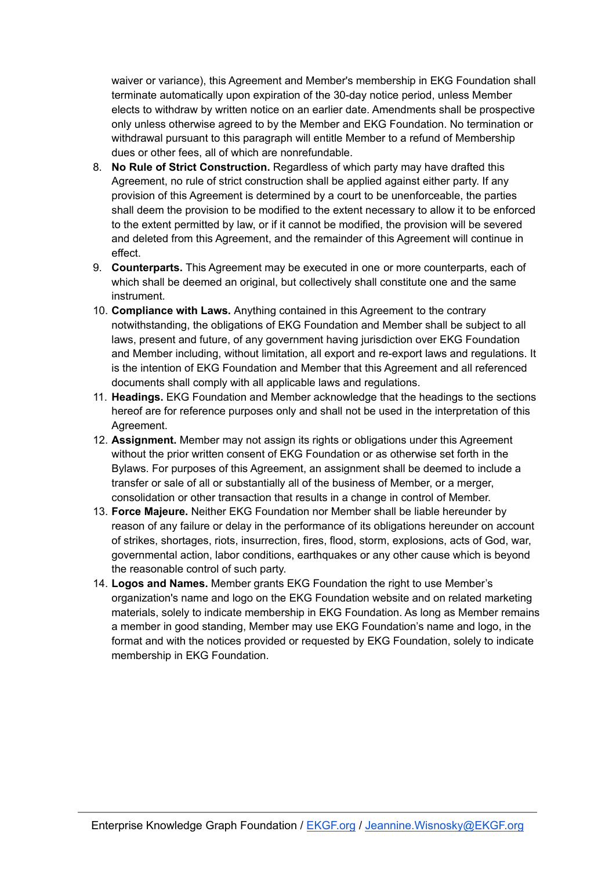waiver or variance), this Agreement and Member's membership in EKG Foundation shall terminate automatically upon expiration of the 30-day notice period, unless Member elects to withdraw by written notice on an earlier date. Amendments shall be prospective only unless otherwise agreed to by the Member and EKG Foundation. No termination or withdrawal pursuant to this paragraph will entitle Member to a refund of Membership dues or other fees, all of which are nonrefundable.

- 8. **No Rule of Strict Construction.** Regardless of which party may have drafted this Agreement, no rule of strict construction shall be applied against either party. If any provision of this Agreement is determined by a court to be unenforceable, the parties shall deem the provision to be modified to the extent necessary to allow it to be enforced to the extent permitted by law, or if it cannot be modified, the provision will be severed and deleted from this Agreement, and the remainder of this Agreement will continue in effect.
- 9. **Counterparts.** This Agreement may be executed in one or more counterparts, each of which shall be deemed an original, but collectively shall constitute one and the same instrument.
- 10. **Compliance with Laws.** Anything contained in this Agreement to the contrary notwithstanding, the obligations of EKG Foundation and Member shall be subject to all laws, present and future, of any government having jurisdiction over EKG Foundation and Member including, without limitation, all export and re-export laws and regulations. It is the intention of EKG Foundation and Member that this Agreement and all referenced documents shall comply with all applicable laws and regulations.
- 11. **Headings.** EKG Foundation and Member acknowledge that the headings to the sections hereof are for reference purposes only and shall not be used in the interpretation of this Agreement.
- 12. **Assignment.** Member may not assign its rights or obligations under this Agreement without the prior written consent of EKG Foundation or as otherwise set forth in the Bylaws. For purposes of this Agreement, an assignment shall be deemed to include a transfer or sale of all or substantially all of the business of Member, or a merger, consolidation or other transaction that results in a change in control of Member.
- 13. **Force Majeure.** Neither EKG Foundation nor Member shall be liable hereunder by reason of any failure or delay in the performance of its obligations hereunder on account of strikes, shortages, riots, insurrection, fires, flood, storm, explosions, acts of God, war, governmental action, labor conditions, earthquakes or any other cause which is beyond the reasonable control of such party.
- 14. **Logos and Names.** Member grants EKG Foundation the right to use Member's organization's name and logo on the EKG Foundation website and on related marketing materials, solely to indicate membership in EKG Foundation. As long as Member remains a member in good standing, Member may use EKG Foundation's name and logo, in the format and with the notices provided or requested by EKG Foundation, solely to indicate membership in EKG Foundation.